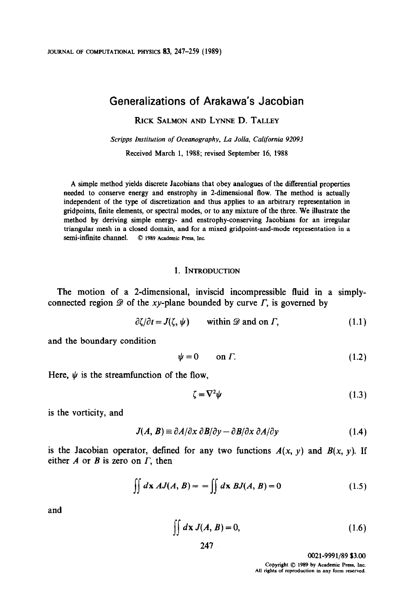# Generalizations of Arakawa's Jacobian

RICK SALMON AND LYNNE D. TALLEY

Scripps Institution of Oceanography, La Jolla, California 92093 Received March 1, 1988; revised September 16, 1988

A simple method yields discrete Jacobians that obey analogues of the differential properties needed to conserve energy and enstrophy in 2-dimensional flow. The method is actually independent of the type of discretization and thus applies to an arbitrary representation in gridpoints, finite elements, or spectral modes, or to any mixture of the three. We illustrate the method by deriving simple energy- and enstrophy-conserving Jacobians for an irregular triangular mesh in a closed domain, and for a mixed gridpoint-and-mode representation in a semi-infinite channel. © 1989 Academic Press, Inc.

#### 1. INTRODUCTION

The motion of a 2-dimensional, inviscid incompressible fluid in a simplyconnected region  $\mathscr D$  of the xy-plane bounded by curve  $\Gamma$ , is governed by

$$
\partial \zeta / \partial t = J(\zeta, \psi) \qquad \text{within } \mathcal{D} \text{ and on } \Gamma, \tag{1.1}
$$

and the boundary condition

$$
\psi = 0 \qquad \text{on } \Gamma. \tag{1.2}
$$

Here,  $\psi$  is the streamfunction of the flow,

$$
\zeta = \nabla^2 \psi \tag{1.3}
$$

is the vorticity, and

$$
J(A, B) \equiv \partial A/\partial x \; \partial B/\partial y - \partial B/\partial x \; \partial A/\partial y \tag{1.4}
$$

is the Jacobian operator, defined for any two functions  $A(x, y)$  and  $B(x, y)$ . If either  $A$  or  $B$  is zero on  $\Gamma$ , then

$$
\iint d\mathbf{x} \, AJ(A, B) = -\iint d\mathbf{x} \, BJ(A, B) = 0 \tag{1.5}
$$

and

$$
\iint d\mathbf{x} J(A, B) = 0, \tag{1.6}
$$

247

0021-9991/89 \$3.00

Copyright  $\oslash$  1989 by Academic Press, Inc. All rights of reproduction in any form reserved.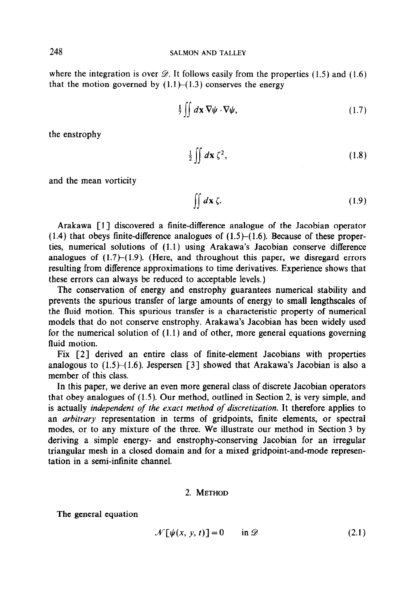where the integration is over  $\mathcal{D}$ . It follows easily from the properties (1.5) and (1.6) that the motion governed by  $(1.1)$ – $(1.3)$  conserves the energy

$$
\frac{1}{2} \iint d\mathbf{x} \, \nabla \psi \cdot \nabla \psi, \tag{1.7}
$$

the enstrophy

$$
\frac{1}{2}\iint d\mathbf{x}\,\zeta^2,\tag{1.8}
$$

and the mean vorticity

$$
\iint d\mathbf{x} \zeta. \tag{1.9}
$$

Arakawa [l] discovered a finite-difference analogue of the Jacobian operator  $(1.4)$  that obeys finite-difference analogues of  $(1.5)$ – $(1.6)$ . Because of these properties, numerical solutions of (1.1) using Arakawa's Jacobian conserve difference analogues of  $(1.7)$ – $(1.9)$ . (Here, and throughout this paper, we disregard errors resulting from difference approximations to time derivatives. Experience shows that these errors can always be reduced to acceptable levels.)

The conservation of energy and enstrophy guarantees numerical stability and prevents the spurious transfer of large amounts of energy to small lengthscales of the fluid motion. This spurious transfer is a characteristic property of numerical models that do not conserve enstrophy. Arakawa's Jacobian has been widely used for the numerical solution of (1.1) and of other, more general equations governing fluid motion.

Fix [2] derived an entire class of finite-element Jacobians with properties analogous to  $(1.5)$ – $(1.6)$ . Jespersen [3] showed that Arakawa's Jacobian is also a member of this class.

In this paper, we derive an even more general class of discrete Jacobian operators that obey analogues of (1.5). Our method, outlined in Section 2, is very simple, and is actually independent of the exact method of discretization. It therefore applies to an arbitrary representation in terms of gridpoints, finite elements, or spectral modes, or to any mixture of the three. We illustrate our method in Section 3 by deriving a simple energy- and enstrophy-conserving Jacobian for an irregular triangular mesh in a closed domain and for a mixed gridpoint-and-mode representation in a semi-infinite channel.

## 2. METHOD

The general equation

$$
\mathcal{N}[\psi(x, y, t)] = 0 \quad \text{in } \mathcal{D}
$$
 (2.1)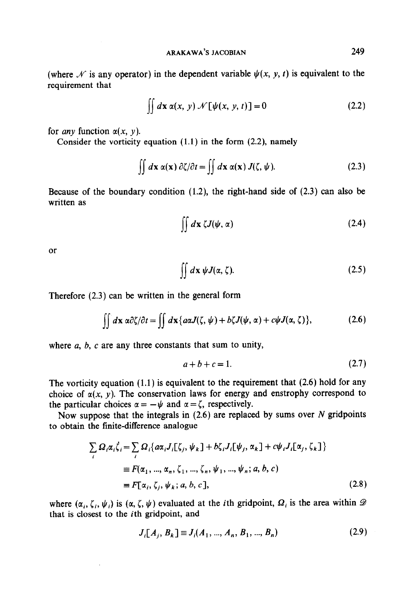(where  $\mathcal N$  is any operator) in the dependent variable  $\psi(x, y, t)$  is equivalent to the requirement that

$$
\iint d\mathbf{x} \alpha(x, y) \mathcal{N}[\psi(x, y, t)] = 0 \qquad (2.2)
$$

for *any* function  $\alpha(x, y)$ .

Consider the vorticity equation  $(1.1)$  in the form  $(2.2)$ , namely

$$
\iint d\mathbf{x} \alpha(\mathbf{x}) \partial \zeta / \partial t = \iint d\mathbf{x} \alpha(\mathbf{x}) J(\zeta, \psi). \tag{2.3}
$$

Because of the boundary condition  $(1.2)$ , the right-hand side of  $(2.3)$  can also be written as

$$
\iint d\mathbf{x} \,\zeta J(\psi,\alpha) \tag{2.4}
$$

or

$$
\iint d\mathbf{x} \, \psi J(\alpha, \zeta). \tag{2.5}
$$

Therefore (2.3) can be written in the general form

$$
\iint d\mathbf{x} \ \alpha \partial \zeta / \partial t = \iint d\mathbf{x} \{ a\alpha J(\zeta, \psi) + b\zeta J(\psi, \alpha) + c\psi J(\alpha, \zeta) \}, \tag{2.6}
$$

where  $a, b, c$  are any three constants that sum to unity,

$$
a+b+c=1.\t(2.7)
$$

The vorticity equation (1.1) is equivalent to the requirement that (2.6) hold for any choice of  $\alpha(x, y)$ . The conservation laws for energy and enstrophy correspond to the particular choices  $\alpha = -\psi$  and  $\alpha = \zeta$ , respectively.

Now suppose that the integrals in  $(2.6)$  are replaced by sums over N gridpoints to obtain the finite-difference analogue

$$
\sum_{i} \Omega_{i} \alpha_{i} \dot{\zeta}_{i} = \sum_{i} \Omega_{i} \{ a \alpha_{i} J_{i}[\zeta_{j}, \psi_{k}] + b \zeta_{i} J_{i}[\psi_{j}, \alpha_{k}] + c \psi_{i} J_{i}[\alpha_{j}, \zeta_{k}] \}
$$
  
\n
$$
\equiv F(\alpha_{1}, ..., \alpha_{n}, \zeta_{1}, ..., \zeta_{n}, \psi_{1}, ..., \psi_{n}; a, b, c)
$$
  
\n
$$
\equiv F[\alpha_{i}, \zeta_{j}, \psi_{k}; a, b, c],
$$
\n(2.8)

where  $(\alpha_i, \zeta_i, \psi_i)$  is  $(\alpha, \zeta, \psi)$  evaluated at the *i*th gridpoint,  $\Omega_i$  is the area within  $\mathscr D$ that is closest to the ith gridpoint, and

$$
J_i[A_j, B_k] \equiv J_i(A_1, ..., A_n, B_1, ..., B_n)
$$
 (2.9)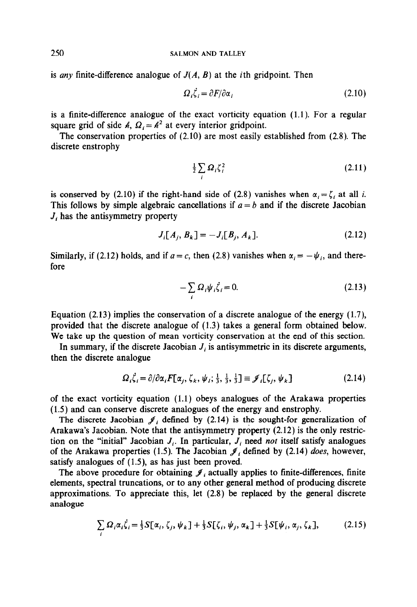is any finite-difference analogue of  $J(A, B)$  at the *i*th gridpoint. Then

$$
\Omega_i \dot{\zeta}_i = \partial F / \partial \alpha_i \tag{2.10}
$$

is a finite-difference analogue of the exact vorticity equation (1.1). For a regular square grid of side  $\mathbb{A}, \Omega = \mathbb{A}^2$  at every interior gridpoint.

The conservation properties of (2.10) are most easily established from (2.8). The discrete enstrophy

$$
\frac{1}{2}\sum_{i}\Omega_{i}\zeta_{i}^{2} \tag{2.11}
$$

is conserved by (2.10) if the right-hand side of (2.8) vanishes when  $\alpha_i = \zeta_i$  at all i. This follows by simple algebraic cancellations if  $a = b$  and if the discrete Jacobian  $J_i$  has the antisymmetry property

$$
J_i[A_j, B_k] = -J_i[B_j, A_k].
$$
 (2.12)

Similarly, if (2.12) holds, and if  $a = c$ , then (2.8) vanishes when  $\alpha_i = -\psi_i$ , and therefore

$$
-\sum_{i}\Omega_{i}\psi_{i}\dot{\zeta}_{i}=0.\tag{2.13}
$$

Equation  $(2.13)$  implies the conservation of a discrete analogue of the energy  $(1.7)$ , provided that the discrete analogue of (1.3) takes a general form obtained below. We take up the question of mean vorticity conservation at the end of this section.

In summary, if the discrete Jacobian  $J_i$  is antisymmetric in its discrete arguments, then the discrete analogue

$$
\Omega_i \dot{\zeta}_i = \partial/\partial \alpha_i F[\alpha_j, \zeta_k, \psi_i; \frac{1}{3}, \frac{1}{3}, \frac{1}{3}] \equiv \mathcal{J}_i[\zeta_j, \psi_k]
$$
(2.14)

of the exact vorticity equation (1.1) obeys analogues of the Arakawa properties (1.5) and can conserve discrete analogues of the energy and enstrophy.

The discrete Jacobian  $\mathcal{J}_i$  defined by (2.14) is the sought-for generalization of Arakawa's Jacobian. Note that the antisymmetry property (2.12) is the only restriction on the "initial" Jacobian  $J_i$ . In particular,  $J_i$  need not itself satisfy analogues of the Arakawa properties (1.5). The Jacobian  $\mathcal{J}_i$  defined by (2.14) does, however, satisfy analogues of (1.5), as has just been proved.

The above procedure for obtaining  $\mathcal{J}_i$  actually applies to finite-differences, finite elements, spectral truncations, or to any other general method of producing discrete approximations. To appreciate this, let (2.8) be replaced by the general discrete analogue

$$
\sum_{i} \Omega_i \alpha_i \dot{\zeta}_i = \frac{1}{3} S[\alpha_i, \zeta_j, \psi_k] + \frac{1}{3} S[\zeta_i, \psi_j, \alpha_k] + \frac{1}{3} S[\psi_i, \alpha_j, \zeta_k], \qquad (2.15)
$$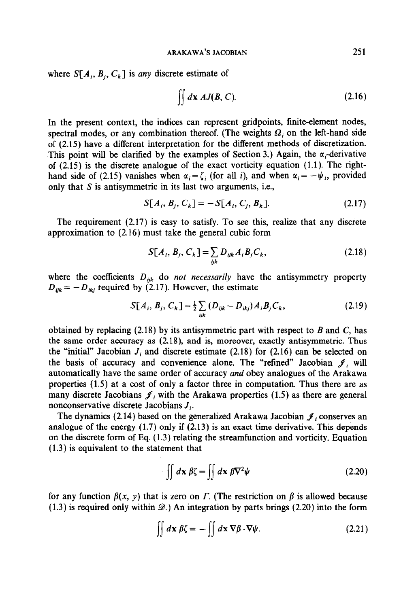where  $S[A_i, B_i, C_k]$  is any discrete estimate of

$$
\iint d\mathbf{x} \, AJ(B, C). \tag{2.16}
$$

In the present context, the indices can represent gridpoints, finite-element nodes, spectral modes, or any combination thereof. (The weights  $\Omega_i$  on the left-hand side of (2.15) have a different interpretation for the different methods of discretization. This point will be clarified by the examples of Section 3.) Again, the  $\alpha_i$ -derivative of  $(2.15)$  is the discrete analogue of the exact vorticity equation  $(1.1)$ . The righthand side of (2.15) vanishes when  $\alpha_i = \zeta_i$  (for all i), and when  $\alpha_i = -\psi_i$ , provided only that S is antisymmetric in its last two arguments, i.e.,

$$
S[A_i, B_j, C_k] = -S[A_i, C_j, B_k].
$$
 (2.17)

The requirement (2.17) is easy to satisfy. To see this, realize that any discrete approximation to (2.16) must take the general cubic form

$$
S[A_i, B_j, C_k] = \sum_{ijk} D_{ijk} A_i B_j C_k, \qquad (2.18)
$$

where the coefficients  $D_{ijk}$  do *not necessarily* have the antisymmetry property  $D_{ijk} = -D_{ikj}$  required by (2.17). However, the estimate

$$
S[A_i, B_j, C_k] = \frac{1}{2} \sum_{ijk} (D_{ijk} - D_{ikj}) A_i B_j C_k, \qquad (2.19)
$$

obtained by replacing  $(2.18)$  by its antisymmetric part with respect to B and C, has the same order accuracy as (2.18), and is, moreover, exactly antisymmetric. Thus the "initial" Jacobian  $J_i$  and discrete estimate (2.18) for (2.16) can be selected on the basis of accuracy and convenience alone. The "refined" Jacobian  $\mathcal{J}_i$  will automatically have the same order of accuracy and obey analogues of the Arakawa properties (1.5) at a cost of only a factor three in computation. Thus there are as many discrete Jacobians  $\mathcal{J}_i$  with the Arakawa properties (1.5) as there are general nonconservative discrete Jacobians  $J_i$ .

The dynamics (2.14) based on the generalized Arakawa Jacobian  $\mathcal{J}_i$  conserves an analogue of the energy (1.7) only if (2.13) is an exact time derivative. This depends on the discrete form of Eq. (1.3) relating the streamfunction and vorticity. Equation (1.3) is equivalent to the statement that

$$
\iint d\mathbf{x} \beta \zeta = \iint d\mathbf{x} \beta \nabla^2 \psi
$$
 (2.20)

for any function  $\beta(x, y)$  that is zero on  $\Gamma$ . (The restriction on  $\beta$  is allowed because  $(1.3)$  is required only within  $\mathcal{D}$ . An integration by parts brings (2.20) into the form

$$
\iint d\mathbf{x} \ \beta \zeta = -\iint d\mathbf{x} \ \nabla \beta \cdot \nabla \psi. \tag{2.21}
$$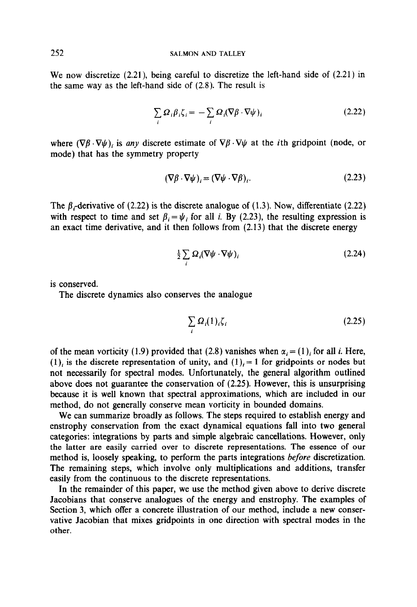We now discretize (2.21), being careful to discretize the left-hand side of (2.21) in the same way as the left-hand side of (2.8). The result is

$$
\sum_{i} \Omega_{i} \beta_{i} \zeta_{i} = -\sum_{i} \Omega_{i} (\nabla \beta \cdot \nabla \psi)_{i}
$$
\n(2.22)

where  $(\nabla \beta \cdot \nabla \psi)$ , is any discrete estimate of  $\nabla \beta \cdot \nabla \psi$  at the *i*th gridpoint (node, or mode) that has the symmetry property

$$
(\nabla \beta \cdot \nabla \psi)_i = (\nabla \psi \cdot \nabla \beta)_i. \tag{2.23}
$$

The  $\beta$ -derivative of (2.22) is the discrete analogue of (1.3). Now, differentiate (2.22) with respect to time and set  $\beta_i = \psi_i$  for all i. By (2.23), the resulting expression is an exact time derivative, and it then follows from (2.13) that the discrete energy

$$
\frac{1}{2} \sum_{i} \Omega_{i} (\nabla \psi \cdot \nabla \psi)_{i}
$$
 (2.24)

is conserved.

The discrete dynamics also conserves the analogue

$$
\sum_{i} \Omega_i(1)_i \zeta_i \tag{2.25}
$$

of the mean vorticity (1.9) provided that (2.8) vanishes when  $\alpha_i = (1)_i$  for all i. Here, (1)<sub>i</sub> is the discrete representation of unity, and  $(1)$ <sub>i</sub> = 1 for gridpoints or nodes but not necessarily for spectral modes. Unfortunately, the general algorithm outlined above does not guarantee the conservation of (2.25). However, this is unsurprising because it is well known that spectral approximations, which are included in our method, do not generally conserve mean vorticity in bounded domains.

We can summarize broadly as follows. The steps required to establish energy and enstrophy conservation from the exact dynamical equations fall into two general categories: integrations by parts and simpie algebraic cancellations. However, only the latter are easily carried over to discrete representations. The essence of our method is, loosely speaking, to perform the parts integrations before discretization. The remaining steps, which involve only multiplications and additions, transfer easily from the continuous to the discrete representations.

In the remainder of this paper, we use the method given above to derive discrete Jacobians that conserve analogues of the energy and enstrophy. The examples of Section 3, which offer a concrete illustration of our method, include a new conservative Jacobian that mixes gridpoints in one direction with spectral modes in the other.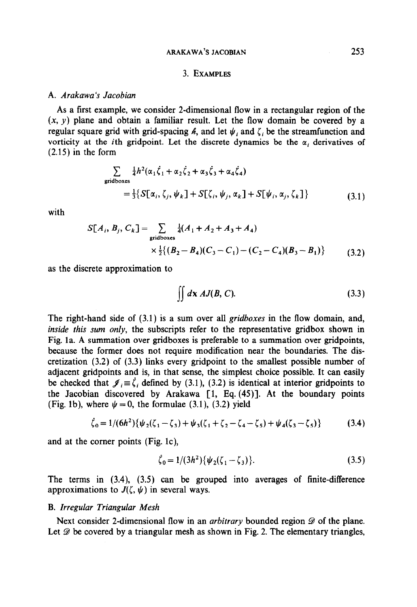### ARAKAWA'S JACOBIAN 253

## 3. EXAMPLES

#### A. Arakawa 's Jacobian

As a first example, we consider 2-dimensional flow in a rectangular region of the  $(x, y)$  plane and obtain a familiar result. Let the flow domain be covered by a regular square grid with grid-spacing  $\ell$ , and let  $\psi_i$  and  $\zeta_i$  be the streamfunction and vorticity at the *i*th gridpoint. Let the discrete dynamics be the  $\alpha_i$  derivatives of (2.15) in the form

$$
\sum_{\text{gridboxes}} \frac{1}{4} h^2(\alpha_1 \dot{\zeta}_1 + \alpha_2 \dot{\zeta}_2 + \alpha_3 \dot{\zeta}_3 + \alpha_4 \dot{\zeta}_4)
$$
  
= 
$$
\frac{1}{3} \{ S[\alpha_i, \zeta_j, \psi_k] + S[\zeta_i, \psi_j, \alpha_k] + S[\psi_i, \alpha_j, \zeta_k] \}
$$
(3.1)

with

$$
S[A_i, B_j, C_k] = \sum_{\text{gridboxes}} \frac{1}{4}(A_1 + A_2 + A_3 + A_4)
$$
  
 
$$
\times \frac{1}{2}\{(B_2 - B_4)(C_3 - C_1) - (C_2 - C_4)(B_3 - B_1)\}
$$
 (3.2)

as the discrete approximation to

$$
\iint d\mathbf{x} \, AJ(B, C). \tag{3.3}
$$

The right-hand side of (3.1) is a sum over all *gridboxes* in the flow domain, and, inside this sum only, the subscripts refer to the representative gridbox shown in Fig. la. A summation over gridboxes is preferable to a summation over gridpoints, because the former does not require modification near the boundaries. The discretization (3.2) of (3.3) links every gridpoint to the smallest possible number of adjacent gridpoints and is, in that sense, the simplest choice possible. It can easily be checked that  $\mathcal{J}_i = \dot{\zeta}_i$  defined by (3.1), (3.2) is identical at interior gridpoints to the Jacobian discovered by Arakawa [l, Eq. (45)]. At the boundary points (Fig. 1b), where  $\psi = 0$ , the formulae (3.1), (3.2) yield

$$
\zeta_0 = 1/(6h^2)\{\psi_2(\zeta_1 - \zeta_3) + \psi_3(\zeta_1 + \zeta_2 - \zeta_4 - \zeta_5) + \psi_4(\zeta_3 - \zeta_5)\}\tag{3.4}
$$

and at the corner points (Fig. lc),

$$
\zeta_0 = 1/(3h^2)\{\psi_2(\zeta_1 - \zeta_3)\}.
$$
\n(3.5)

The terms in (3.4), (3.5) can be grouped into averages of finite-difference approximations to  $J(\zeta, \psi)$  in several ways.

## B. Irregular Triangular Mesh

Next consider 2-dimensional flow in an *arbitrary* bounded region  $\mathscr D$  of the plane. Let  $\mathscr D$  be covered by a triangular mesh as shown in Fig. 2. The elementary triangles,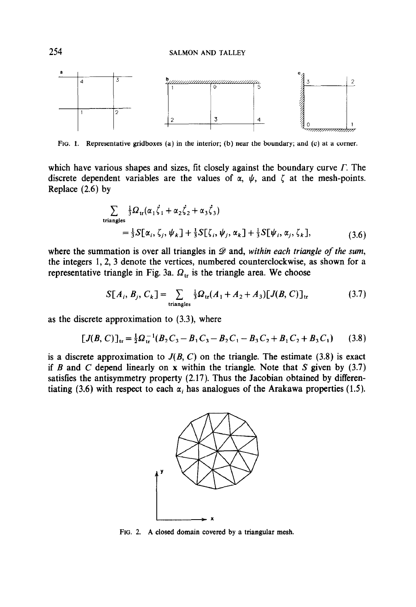

FIG. 1. Representative gridboxes (a) in the interior; (b) near the boundary; and (c) at a comer.

which have various shapes and sizes, fit closely against the boundary curve  $\Gamma$ . The discrete dependent variables are the values of  $\alpha$ ,  $\psi$ , and  $\zeta$  at the mesh-points. Replace (2.6) by

$$
\sum_{\text{triangles}} \frac{\frac{1}{3} \Omega_{\text{tr}}(\alpha_1 \dot{\zeta}_1 + \alpha_2 \dot{\zeta}_2 + \alpha_3 \dot{\zeta}_3)}{\frac{1}{3} \Sigma[\alpha_i, \zeta_j, \psi_k] + \frac{1}{3} \Sigma[\zeta_i, \psi_j, \alpha_k] + \frac{1}{3} \Sigma[\psi_i, \alpha_j, \zeta_k],}
$$
(3.6)

where the summation is over all triangles in  $\mathscr D$  and, within each triangle of the sum, the integers 1,2, 3 denote the vertices, numbered counterclockwise, as shown for a representative triangle in Fig. 3a.  $\Omega_{tr}$  is the triangle area. We choose

$$
S[A_i, B_j, C_k] = \sum_{\text{triangles}} \frac{1}{3} \Omega_{\text{tr}}(A_1 + A_2 + A_3) [J(B, C)]_{\text{tr}}
$$
(3.7)

as the discrete approximation to (3.3), where

$$
[J(B, C)]_{\text{tr}} = \frac{1}{2}\Omega_{\text{tr}}^{-1}(B_2C_3 - B_1C_3 - B_2C_1 - B_3C_2 + B_1C_2 + B_3C_1) \tag{3.8}
$$

is a discrete approximation to  $J(B, C)$  on the triangle. The estimate (3.8) is exact if B and C depend linearly on x within the triangle. Note that S given by  $(3.7)$ satisfies the antisymmetry property (2.17). Thus the Jacobian obtained by differentiating (3.6) with respect to each  $\alpha_i$ , has analogues of the Arakawa properties (1.5).



FIG. 2. A closed domain covered by a triangular mesh.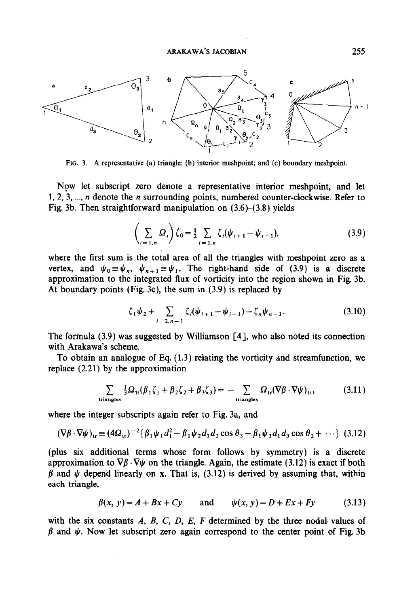

FIG. 3. A representative (a) triangle; (b) interior meshpoint; and (c) boundary meshpoint.

Now let subscript zero denote a representative interior meshpoint, and let 1, 2, 3,  $..., n$  denote the *n* surrounding points, numbered counter-clockwise. Refer to Fig. 3b. Then straightforward manipulation on  $(3.6)$ – $(3.8)$  yields

$$
\left(\sum_{i=1,n} \Omega_i\right) \zeta_0 = \frac{1}{2} \sum_{i=1,n} \zeta_i (\psi_{i+1} - \psi_{i-1}),
$$
\n(3.9)

where the first sum is the total area of all the triangles with meshpoint zero as a vertex, and  $\psi_0 \equiv \psi_n$ ,  $\psi_{n+1} \equiv \psi_1$ . The right-hand side of (3.9) is a discrete approximation to the integrated flux of vorticity into the region shown in Fig. 3b. At boundary points (Fig. 3c), the sum in (3.9) is replaced by

$$
\zeta_1 \psi_2 + \sum_{i=2, n-1} \zeta_i (\psi_{i+1} - \psi_{i-1}) - \zeta_n \psi_{n-1}.
$$
 (3.10)

The formula  $(3.9)$  was suggested by Williamson [4], who also noted its connection with Arakawa's scheme.

To obtain an analogue of Eq. (1.3) relating the vorticity and streamfunction, we replace (2.21) by the approximation

$$
\sum_{\text{triangles}} \frac{1}{3} \Omega_{\text{tr}} (\beta_1 \zeta_1 + \beta_2 \zeta_2 + \beta_3 \zeta_3) = - \sum_{\text{triangles}} \Omega_{\text{tr}} (\nabla \beta \cdot \nabla \psi)_{\text{tr}}, \tag{3.11}
$$

where the integer subscripts again refer to Fig. 3a, and

$$
(\nabla \beta \cdot \nabla \psi)_{\text{tr}} \equiv (4\Omega_{\text{tr}})^{-2} \{\beta_1 \psi_1 d_1^2 - \beta_1 \psi_2 d_1 d_2 \cos \theta_3 - \beta_1 \psi_3 d_1 d_3 \cos \theta_2 + \cdots \} (3.12)
$$

(plus six additional terms whose form follows by symmetry) is a discrete approximation to  $\nabla \beta \cdot \nabla \psi$  on the triangle. Again, the estimate (3.12) is exact if both  $\beta$  and  $\psi$  depend linearly on x. That is, (3.12) is derived by assuming that, within each triangle,

$$
\beta(x, y) = A + Bx + Cy \quad \text{and} \quad \psi(x, y) = D + Ex + Fy \quad (3.13)
$$

with the six constants  $A$ ,  $B$ ,  $C$ ,  $D$ ,  $E$ ,  $F$  determined by the three nodal values of  $\beta$  and  $\psi$ . Now let subscript zero again correspond to the center point of Fig. 3b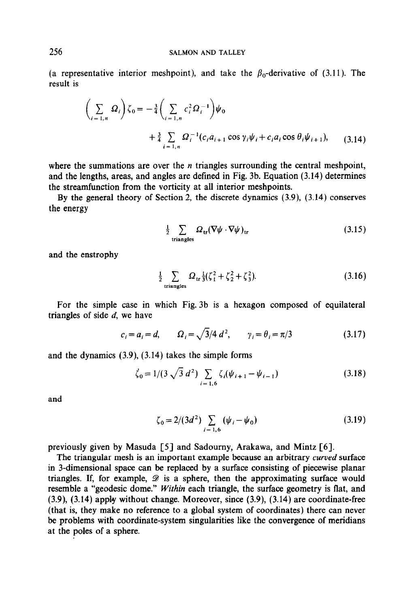(a representative interior meshpoint), and take the  $\beta_0$ -derivative of (3.11). The result is

$$
\left(\sum_{i=1,n} \Omega_i\right) \zeta_0 = -\frac{3}{4} \left(\sum_{i=1,n} c_i^2 \Omega_i^{-1}\right) \psi_0
$$
  
+ 
$$
\frac{3}{4} \sum_{i=1,n} \Omega_i^{-1} (c_i a_{i+1} \cos \gamma_i \psi_i + c_i a_i \cos \theta_i \psi_{i+1}), \qquad (3.14)
$$

where the summations are over the  $n$  triangles surrounding the central meshpoint, and the lengths, areas, and angles are defined in Fig. 3b. Equation (3.14) determines the streamfunction from the vorticity at all interior meshpoints.

By the general theory of Section 2, the discrete dynamics (3.9), (3.14) conserves the energy

$$
\frac{1}{2} \sum_{\text{triangles}} \Omega_{\text{tr}} (\nabla \psi \cdot \nabla \psi)_{\text{tr}} \tag{3.15}
$$

and the enstrophy

$$
\frac{1}{2} \sum_{\text{triangles}} \Omega_{\text{tr}} \frac{1}{3} (\zeta_1^2 + \zeta_2^2 + \zeta_3^2). \tag{3.16}
$$

For the simple case in which Fig. 3b is a hexagon composed of equilateral triangles of side  $d$ , we have

$$
c_i = a_i = d, \qquad \Omega_i = \sqrt{3}/4 \ d^2, \qquad \gamma_i = \theta_i = \pi/3 \tag{3.17}
$$

and the dynamics (3.9), (3.14) takes the simple forms

$$
\dot{\zeta}_0 = 1/(3\sqrt{3} d^2) \sum_{i=1,6} \zeta_i (\psi_{i+1} - \psi_{i-1})
$$
 (3.18)

and

$$
\zeta_0 = 2/(3d^2) \sum_{i=1,6} (\psi_i - \psi_0)
$$
 (3.19)

previously given by Masuda [S] and Sadourny, Arakawa, and Mintz [6].

The triangular mesh is an important example because an arbitrary curved surface in 3-dimensional space can be replaced by a surface consisting of piecewise planar triangles. If, for example,  $\mathscr D$  is a sphere, then the approximating surface would resemble a "geodesic dome." Within each triangle, the surface geometry is flat, and (3.9), (3.14) apply without change. Moreover, since (3.9), (3.14) are coordinate-free (that is, they make no reference to a global system of coordinates) there can never be problems with coordinate-system singularities like the convergence of meridians at the poles of a sphere.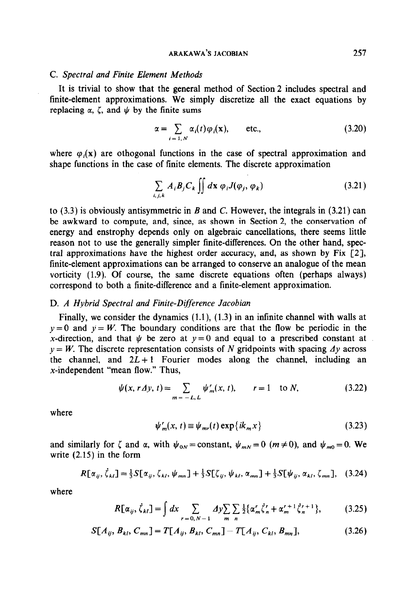#### C. Spectral and Finite Element Methods

It is trivial to show that the general method of Section 2 includes spectral and finite-element approximations. We simply discretize all the exact equations by replacing  $\alpha$ ,  $\zeta$ , and  $\psi$  by the finite sums

$$
\alpha = \sum_{i=1,N} \alpha_i(t) \varphi_i(\mathbf{x}), \quad \text{etc.,}
$$
 (3.20)

where  $\varphi_i(x)$  are othogonal functions in the case of spectral approximation and shape functions in the case of finite elements. The discrete approximation

$$
\sum_{i,j,k} A_i B_j C_k \iint dx \, \varphi_i J(\varphi_j, \varphi_k) \tag{3.21}
$$

to  $(3.3)$  is obviously antisymmetric in B and C. However, the integrals in  $(3.21)$  can be awkward to compute, and, since, as shown in Section 2, the conservation of energy and enstrophy depends only on algebraic cancellations, there seems little reason not to use the generally simpler finite-differences. On the other hand, spectral approximations have the highest order accuracy, and, as shown by Fix  $\lceil 2 \rceil$ , finite-element approximations can be arranged to conserve an analogue of the mean vorticity (1.9). Of course, the same discrete equations often (perhaps always) correspond to both a finite-difference and a finite-element approximation.

## D. A Hybrid Spectral and Finite-Difference Jacobian

Finally, we consider the dynamics  $(1.1)$ ,  $(1.3)$  in an infinite channel with walls at  $y = 0$  and  $y = W$ . The boundary conditions are that the flow be periodic in the x-direction, and that  $\psi$  be zero at  $y = 0$  and equal to a prescribed constant at  $y = W$ . The discrete representation consists of N gridpoints with spacing  $\Delta y$  across the channel, and  $2L+1$  Fourier modes along the channel, including an  $x$ -independent "mean flow." Thus,

$$
\psi(x, r \Delta y, t) = \sum_{m = -L, L} \psi'_m(x, t), \qquad r = 1 \quad \text{to } N,
$$
\n(3.22)

where

$$
\psi_m^r(x, t) \equiv \psi_{mr}(t) \exp\{ik_m x\}
$$
\n(3.23)

and similarly for  $\zeta$  and  $\alpha$ , with  $\psi_{0N} = \text{constant}$ ,  $\psi_{mN} = 0$  ( $m \neq 0$ ), and  $\psi_{m0} = 0$ . We write (2.15) in the form

$$
R[\alpha_{ij}, \dot{\zeta}_{kl}] = \frac{1}{3} S[\alpha_{ij}, \zeta_{kl}, \psi_{mn}] + \frac{1}{3} S[\zeta_{ij}, \psi_{kl}, \alpha_{mn}] + \frac{1}{3} S[\psi_{ij}, \alpha_{kl}, \zeta_{mn}], \quad (3.24)
$$

where

$$
R[\alpha_{ij}, \dot{\zeta}_{kl}] = \int dx \sum_{r=0, N-1} \Delta y \sum_{m} \sum_{n} \frac{1}{2} \{ \alpha'_{m} \dot{\zeta}^{r}_{n} + \alpha'^{-1}_{m} \dot{\zeta}^{r+1}_{n} \}, \tag{3.25}
$$

$$
S[A_{ij}, B_{kl}, C_{mn}] = T[A_{ij}, B_{kl}, C_{mn}] - T[A_{ij}, C_{kl}, B_{mn}],
$$
\n(3.26)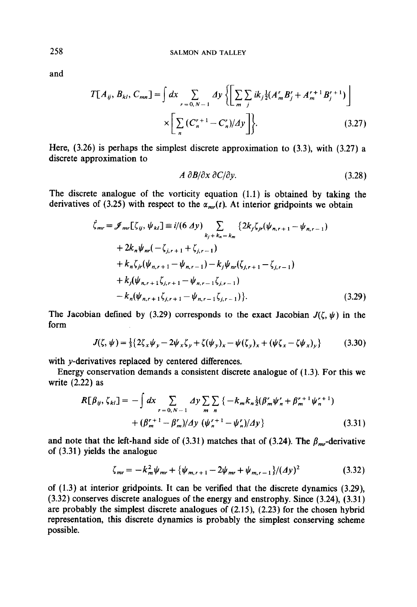and

$$
T[A_{ij}, B_{kl}, C_{mn}] = \int dx \sum_{r=0, N-1} \Delta y \left\{ \left[ \sum_{m} \sum_{j} ik_{j} \frac{1}{2} (A'_{m} B'_{j} + A'^{-1}_{m} B'_{j}^{r+1}) \right] \times \left[ \sum_{n} (C'^{+1}_{n} - C'_{n}) / \Delta y \right] \right\}.
$$
 (3.27)

Here, (3.26) is perhaps the simplest discrete approximation to (3.3), with (3.27) a discrete approximation to

$$
A \frac{\partial B}{\partial x} \frac{\partial C}{\partial y}.
$$
 (3.28)

The discrete analogue of the vorticity equation (1.1) is obtained by taking the derivatives of (3.25) with respect to the  $\alpha_{mr}(t)$ . At interior gridpoints we obtain

$$
\begin{split}\n\zeta_{mr} &= \mathcal{J}_{mr}[\zeta_{ij}, \psi_{kl}] \equiv i/(6 \Delta y) \sum_{k_j + k_n = k_m} \{2k_j \zeta_{jr}(\psi_{n,r+1} - \psi_{n,r-1}) \\
&+ 2k_n \psi_{nr}(-\zeta_{j,r+1} + \zeta_{j,r-1}) \\
&+ k_n \zeta_{jr}(\psi_{n,r+1} - \psi_{n,r-1}) - k_j \psi_{nr}(\zeta_{j,r+1} - \zeta_{j,r-1}) \\
&+ k_j(\psi_{n,r+1} \zeta_{j,r+1} - \psi_{n,r-1} \zeta_{j,r-1}) \\
&- k_n(\psi_{n,r+1} \zeta_{j,r+1} - \psi_{n,r-1} \zeta_{j,r-1})\}.\n\end{split} \tag{3.29}
$$

The Jacobian defined by (3.29) corresponds to the exact Jacobian  $J(\zeta, \psi)$  in the form

$$
J(\zeta, \psi) = \frac{1}{3} \{ 2\zeta_x \psi_y - 2\psi_x \zeta_y + \zeta(\psi_y)_x - \psi(\zeta_y)_x + (\psi \zeta_x - \zeta \psi_x)_y \}
$$
(3.30)

with y-derivatives replaced by centered differences.

Energy conservation demands a consistent discrete analogue of (1.3). For this we write (2.22) as

$$
R[\beta_{ij}, \zeta_{kl}] = -\int dx \sum_{r=0, N-1} \Delta y \sum_{m} \sum_{n} \{-k_m k_n \frac{1}{2} (\beta'_m \psi'_n + \beta'^{-1}_m \psi'_n)^1 + (\beta'^{-1}_m - \beta'_m)/\Delta y \} \left( \frac{\psi'_n}{2} + \frac{1}{2} (\beta'_m \psi'_n)^2 \right) \tag{3.31}
$$

and note that the left-hand side of (3.31) matches that of (3.24). The  $\beta_{mr}$ -derivative of (3.31) yields the analogue

$$
\zeta_{mr} = -k_m^2 \psi_{mr} + \{\psi_{m,r+1} - 2\psi_{mr} + \psi_{m,r-1}\} / (dy)^2 \tag{3.32}
$$

of (1.3) at interior gridpoints. It can be verified that the discrete dynamics (3.29), (3.32) conserves discrete analogues of the energy and enstrophy. Since (3.24), (3.31) are probably the simplest discrete analogues of (2.15), (2.23) for the chosen hybrid representation, this discrete dynamics is probably the simplest conserving scheme possible.